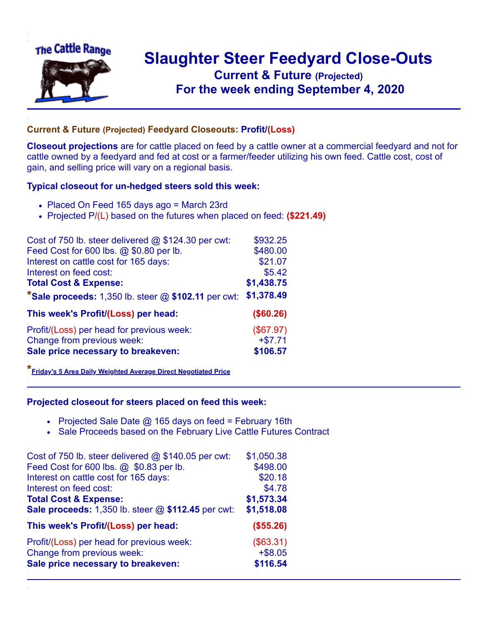

## **Slaughter Steer Feedyard Close-Outs Current & Future (Projected)** .**For the week ending September 4, 2020**

## **Current & Future (Projected) Feedyard Closeouts: Profit/(Loss)**

**Closeout projections** are for cattle placed on feed by a cattle owner at a commercial feedyard and not for cattle owned by a feedyard and fed at cost or a farmer/feeder utilizing his own feed. Cattle cost, cost of gain, and selling price will vary on a regional basis.

## **Typical closeout for un-hedged steers sold this week:**

- Placed On Feed 165 days ago = March 23rd
- Projected P/(L) based on the futures when placed on feed: **(\$221.49)**

| Cost of 750 lb. steer delivered @ \$124.30 per cwt:     | \$932.25   |
|---------------------------------------------------------|------------|
| Feed Cost for 600 lbs. @ \$0.80 per lb.                 | \$480.00   |
| Interest on cattle cost for 165 days:                   | \$21.07    |
| Interest on feed cost:                                  | \$5.42     |
| <b>Total Cost &amp; Expense:</b>                        | \$1,438.75 |
| *Sale proceeds: $1,350$ lb. steer $@$ \$102.11 per cwt: | \$1,378.49 |
| This week's Profit/(Loss) per head:                     | (\$60.26)  |
| Profit/(Loss) per head for previous week:               | (\$67.97)  |
| Change from previous week:                              | $+ $7.71$  |
| Sale price necessary to breakeven:                      | \$106.57   |

**\*[Friday's 5 Area Daily Weighted Average Direct Negotiated Price](https://www.ams.usda.gov/mnreports/ams_2466.pdf)**

## **Projected closeout for steers placed on feed this week:**

- Projected Sale Date  $@$  165 days on feed = February 16th
- Sale Proceeds based on the February Live Cattle Futures Contract

| Cost of 750 lb. steer delivered $@$ \$140.05 per cwt: | \$1,050.38 |
|-------------------------------------------------------|------------|
| Feed Cost for 600 lbs. @ \$0.83 per lb.               | \$498.00   |
| Interest on cattle cost for 165 days:                 | \$20.18    |
| Interest on feed cost:                                | \$4.78     |
| <b>Total Cost &amp; Expense:</b>                      | \$1,573.34 |
| Sale proceeds: 1,350 lb. steer @ \$112.45 per cwt:    | \$1,518.08 |
| This week's Profit/(Loss) per head:                   | (\$55.26)  |
| Profit/(Loss) per head for previous week:             | (\$63.31)  |
| Change from previous week:                            | $+$ \$8.05 |
| Sale price necessary to breakeven:                    | \$116.54   |